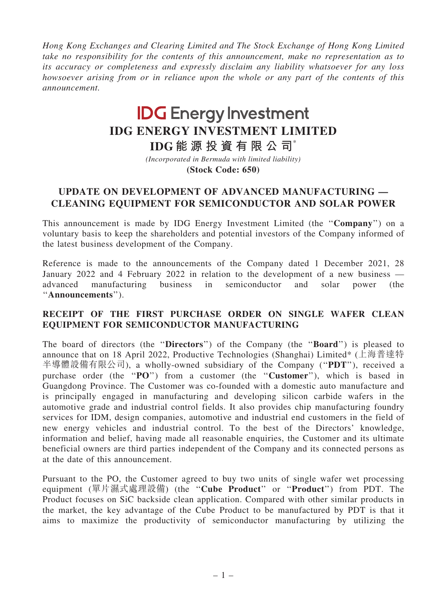Hong Kong Exchanges and Clearing Limited and The Stock Exchange of Hong Kong Limited take no responsibility for the contents of this announcement, make no representation as to its accuracy or completeness and expressly disclaim any liability whatsoever for any loss howsoever arising from or in reliance upon the whole or any part of the contents of this announcement.

# **IDG Energy Investment IDG ENERGY INVESTMENT LIMITED**

**IDG 能 源 投 資 有 限 公 司**\*

**(Stock Code: 650)** *(Incorporated in Bermuda with limited liability)*

# UPDATE ON DEVELOPMENT OF ADVANCED MANUFACTURING — CLEANING EQUIPMENT FOR SEMICONDUCTOR AND SOLAR POWER

This announcement is made by IDG Energy Investment Limited (the ''Company'') on a voluntary basis to keep the shareholders and potential investors of the Company informed of the latest business development of the Company.

Reference is made to the announcements of the Company dated 1 December 2021, 28 January 2022 and 4 February 2022 in relation to the development of a new business advanced manufacturing business in semiconductor and solar power (the ''Announcements'').

#### RECEIPT OF THE FIRST PURCHASE ORDER ON SINGLE WAFER CLEAN EQUIPMENT FOR SEMICONDUCTOR MANUFACTURING

The board of directors (the "Directors") of the Company (the "Board") is pleased to announce that on 18 April 2022, Productive Technologies (Shanghai) Limited\* (上海普達特 半導體設備有限公司), a wholly-owned subsidiary of the Company ("PDT"), received a purchase order (the "PO") from a customer (the "Customer"), which is based in Guangdong Province. The Customer was co-founded with a domestic auto manufacture and is principally engaged in manufacturing and developing silicon carbide wafers in the automotive grade and industrial control fields. It also provides chip manufacturing foundry services for IDM, design companies, automotive and industrial end customers in the field of new energy vehicles and industrial control. To the best of the Directors' knowledge, information and belief, having made all reasonable enquiries, the Customer and its ultimate beneficial owners are third parties independent of the Company and its connected persons as at the date of this announcement.

Pursuant to the PO, the Customer agreed to buy two units of single wafer wet processing equipment (單片濕式處理設備) (the "Cube Product" or "Product") from PDT. The Product focuses on SiC backside clean application. Compared with other similar products in the market, the key advantage of the Cube Product to be manufactured by PDT is that it aims to maximize the productivity of semiconductor manufacturing by utilizing the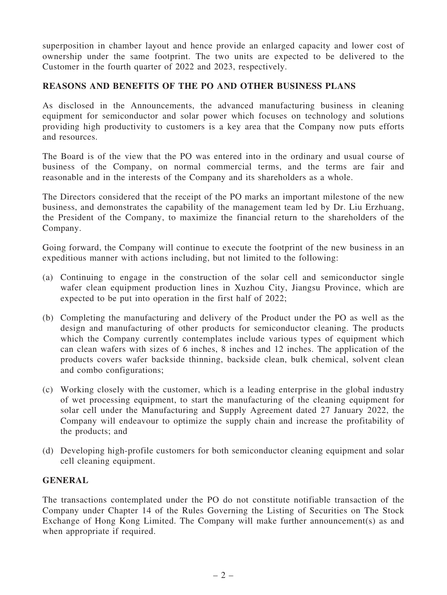superposition in chamber layout and hence provide an enlarged capacity and lower cost of ownership under the same footprint. The two units are expected to be delivered to the Customer in the fourth quarter of 2022 and 2023, respectively.

## REASONS AND BENEFITS OF THE PO AND OTHER BUSINESS PLANS

As disclosed in the Announcements, the advanced manufacturing business in cleaning equipment for semiconductor and solar power which focuses on technology and solutions providing high productivity to customers is a key area that the Company now puts efforts and resources.

The Board is of the view that the PO was entered into in the ordinary and usual course of business of the Company, on normal commercial terms, and the terms are fair and reasonable and in the interests of the Company and its shareholders as a whole.

The Directors considered that the receipt of the PO marks an important milestone of the new business, and demonstrates the capability of the management team led by Dr. Liu Erzhuang, the President of the Company, to maximize the financial return to the shareholders of the Company.

Going forward, the Company will continue to execute the footprint of the new business in an expeditious manner with actions including, but not limited to the following:

- (a) Continuing to engage in the construction of the solar cell and semiconductor single wafer clean equipment production lines in Xuzhou City, Jiangsu Province, which are expected to be put into operation in the first half of 2022;
- (b) Completing the manufacturing and delivery of the Product under the PO as well as the design and manufacturing of other products for semiconductor cleaning. The products which the Company currently contemplates include various types of equipment which can clean wafers with sizes of 6 inches, 8 inches and 12 inches. The application of the products covers wafer backside thinning, backside clean, bulk chemical, solvent clean and combo configurations;
- (c) Working closely with the customer, which is a leading enterprise in the global industry of wet processing equipment, to start the manufacturing of the cleaning equipment for solar cell under the Manufacturing and Supply Agreement dated 27 January 2022, the Company will endeavour to optimize the supply chain and increase the profitability of the products; and
- (d) Developing high-profile customers for both semiconductor cleaning equipment and solar cell cleaning equipment.

## GENERAL

The transactions contemplated under the PO do not constitute notifiable transaction of the Company under Chapter 14 of the Rules Governing the Listing of Securities on The Stock Exchange of Hong Kong Limited. The Company will make further announcement(s) as and when appropriate if required.